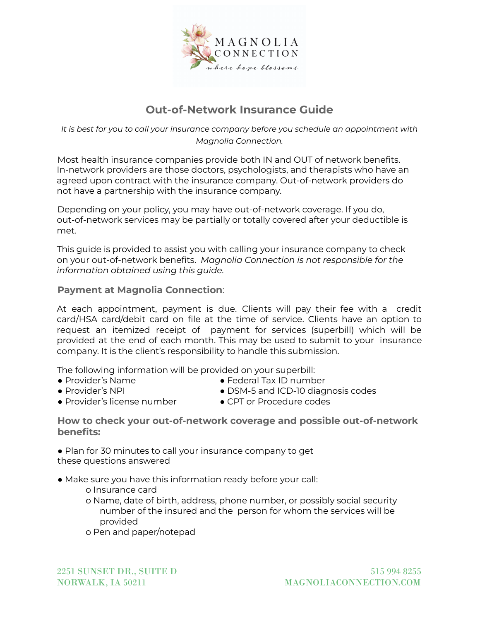

# **Out-of-Network Insurance Guide**

*It is best for you to call your insurance company before you schedule an appointment with Magnolia Connection.*

Most health insurance companies provide both IN and OUT of network benefits. In-network providers are those doctors, psychologists, and therapists who have an agreed upon contract with the insurance company. Out-of-network providers do not have a partnership with the insurance company.

Depending on your policy, you may have out-of-network coverage. If you do, out-of-network services may be partially or totally covered after your deductible is met.

This guide is provided to assist you with calling your insurance company to check on your out-of-network benefits. *Magnolia Connection is not responsible for the information obtained using this guide.*

### **Payment at Magnolia Connection**:

At each appointment, payment is due. Clients will pay their fee with a credit card/HSA card/debit card on file at the time of service. Clients have an option to request an itemized receipt of payment for services (superbill) which will be provided at the end of each month. This may be used to submit to your insurance company. It is the client's responsibility to handle this submission.

The following information will be provided on your superbill:

● Provider's Name

- Federal Tax ID number
- Provider's NPI
- DSM-5 and ICD-10 diagnosis codes
- Provider's license number CPT or Procedure codes
- 

**How to check your out-of-network coverage and possible out-of-network benefits:**

● Plan for 30 minutes to call your insurance company to get these questions answered

- Make sure you have this information ready before your call:
	- o Insurance card
	- o Name, date of birth, address, phone number, or possibly social security number of the insured and the person for whom the services will be provided
	- o Pen and paper/notepad